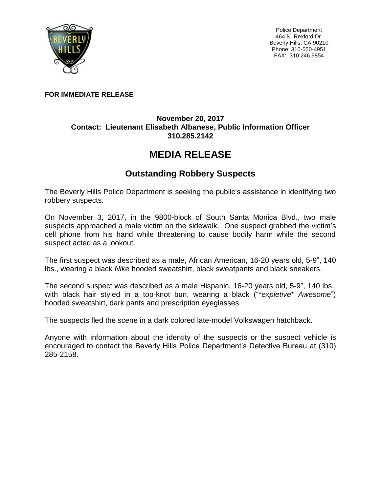

Police Department 464 N. Rexford Dr. Beverly Hills, CA 90210 Phone: 310-550-4951 FAX: 310.246.9854

## **FOR IMMEDIATE RELEASE**

## **November 20, 2017 Contact: Lieutenant Elisabeth Albanese, Public Information Officer 310.285.2142**

## **MEDIA RELEASE**

## **Outstanding Robbery Suspects**

The Beverly Hills Police Department is seeking the public's assistance in identifying two robbery suspects.

On November 3, 2017, in the 9800-block of South Santa Monica Blvd., two male suspects approached a male victim on the sidewalk. One suspect grabbed the victim's cell phone from his hand while threatening to cause bodily harm while the second suspect acted as a lookout.

The first suspect was described as a male, African American, 16-20 years old, 5-9", 140 lbs., wearing a black *Nike* hooded sweatshirt, black sweatpants and black sneakers.

The second suspect was described as a male Hispanic, 16-20 years old, 5-9", 140 lbs., with black hair styled in a top-knot bun, wearing a black ("\**expletive*\* *Awesome*") hooded sweatshirt, dark pants and prescription eyeglasses

The suspects fled the scene in a dark colored late-model Volkswagen hatchback.

Anyone with information about the identity of the suspects or the suspect vehicle is encouraged to contact the Beverly Hills Police Department's Detective Bureau at (310) 285-2158.